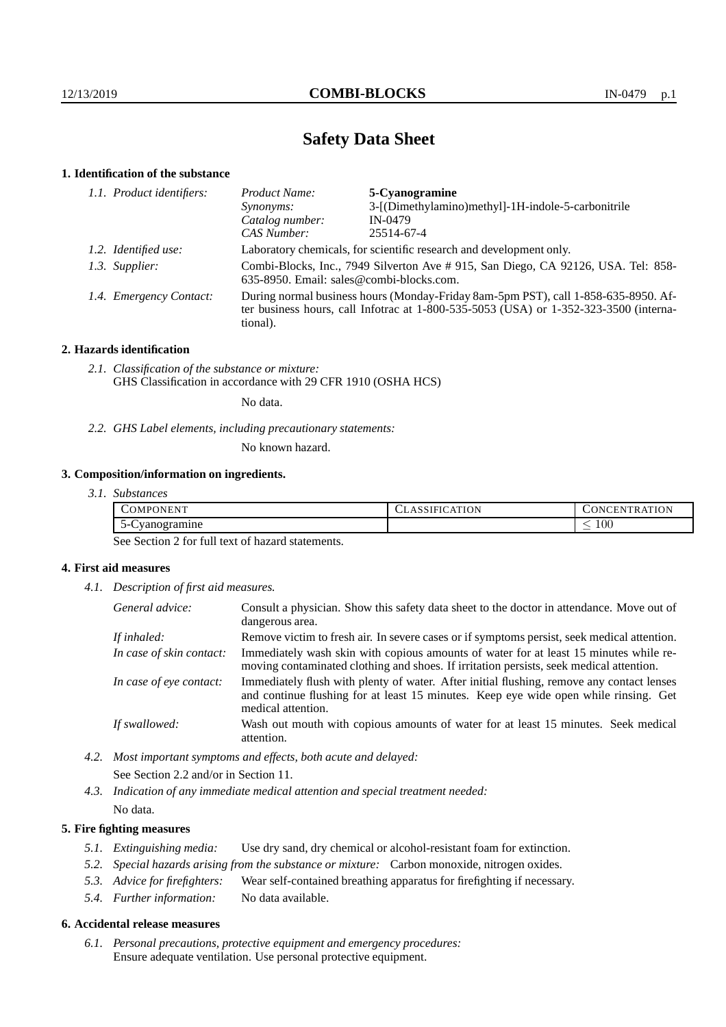# **Safety Data Sheet**

## **1. Identification of the substance**

| 1.1. Product identifiers:<br>Product Name:<br>5-Cyanogramine |                                                                                                                                                                                             |                                                    |  |
|--------------------------------------------------------------|---------------------------------------------------------------------------------------------------------------------------------------------------------------------------------------------|----------------------------------------------------|--|
|                                                              | Synonyms:                                                                                                                                                                                   | 3-[(Dimethylamino)methyl]-1H-indole-5-carbonitrile |  |
|                                                              | Catalog number:                                                                                                                                                                             | IN-0479                                            |  |
|                                                              | CAS Number:                                                                                                                                                                                 | 25514-67-4                                         |  |
| 1.2. Identified use:                                         | Laboratory chemicals, for scientific research and development only.                                                                                                                         |                                                    |  |
| 1.3. Supplier:                                               | Combi-Blocks, Inc., 7949 Silverton Ave # 915, San Diego, CA 92126, USA. Tel: 858-<br>635-8950. Email: sales@combi-blocks.com.                                                               |                                                    |  |
| 1.4. Emergency Contact:                                      | During normal business hours (Monday-Friday 8am-5pm PST), call 1-858-635-8950. Af-<br>ter business hours, call Infotrac at $1-800-535-5053$ (USA) or $1-352-323-3500$ (interna-<br>tional). |                                                    |  |

## **2. Hazards identification**

*2.1. Classification of the substance or mixture:* GHS Classification in accordance with 29 CFR 1910 (OSHA HCS)

No data.

*2.2. GHS Label elements, including precautionary statements:*

No known hazard.

## **3. Composition/information on ingredients.**

*3.1. Substances*

| COMPONENT                     | <b>CLASSIFICATION</b> | TRATION<br>$\sim$ ONCENT        |
|-------------------------------|-----------------------|---------------------------------|
| $\sim$<br>vanogramine<br>,,,, |                       | 100<br>$\overline{\phantom{a}}$ |

See Section 2 for full text of hazard statements.

## **4. First aid measures**

*4.1. Description of first aid measures.*

| General advice:          | Consult a physician. Show this safety data sheet to the doctor in attendance. Move out of<br>dangerous area.                                                                                            |
|--------------------------|---------------------------------------------------------------------------------------------------------------------------------------------------------------------------------------------------------|
| If inhaled:              | Remove victim to fresh air. In severe cases or if symptoms persist, seek medical attention.                                                                                                             |
| In case of skin contact: | Immediately wash skin with copious amounts of water for at least 15 minutes while re-<br>moving contaminated clothing and shoes. If irritation persists, seek medical attention.                        |
| In case of eye contact:  | Immediately flush with plenty of water. After initial flushing, remove any contact lenses<br>and continue flushing for at least 15 minutes. Keep eye wide open while rinsing. Get<br>medical attention. |
| If swallowed:            | Wash out mouth with copious amounts of water for at least 15 minutes. Seek medical<br>attention.                                                                                                        |

- *4.2. Most important symptoms and effects, both acute and delayed:* See Section 2.2 and/or in Section 11.
- *4.3. Indication of any immediate medical attention and special treatment needed:* No data.

## **5. Fire fighting measures**

- *5.1. Extinguishing media:* Use dry sand, dry chemical or alcohol-resistant foam for extinction.
- *5.2. Special hazards arising from the substance or mixture:* Carbon monoxide, nitrogen oxides.
- *5.3. Advice for firefighters:* Wear self-contained breathing apparatus for firefighting if necessary.
- *5.4. Further information:* No data available.

## **6. Accidental release measures**

*6.1. Personal precautions, protective equipment and emergency procedures:* Ensure adequate ventilation. Use personal protective equipment.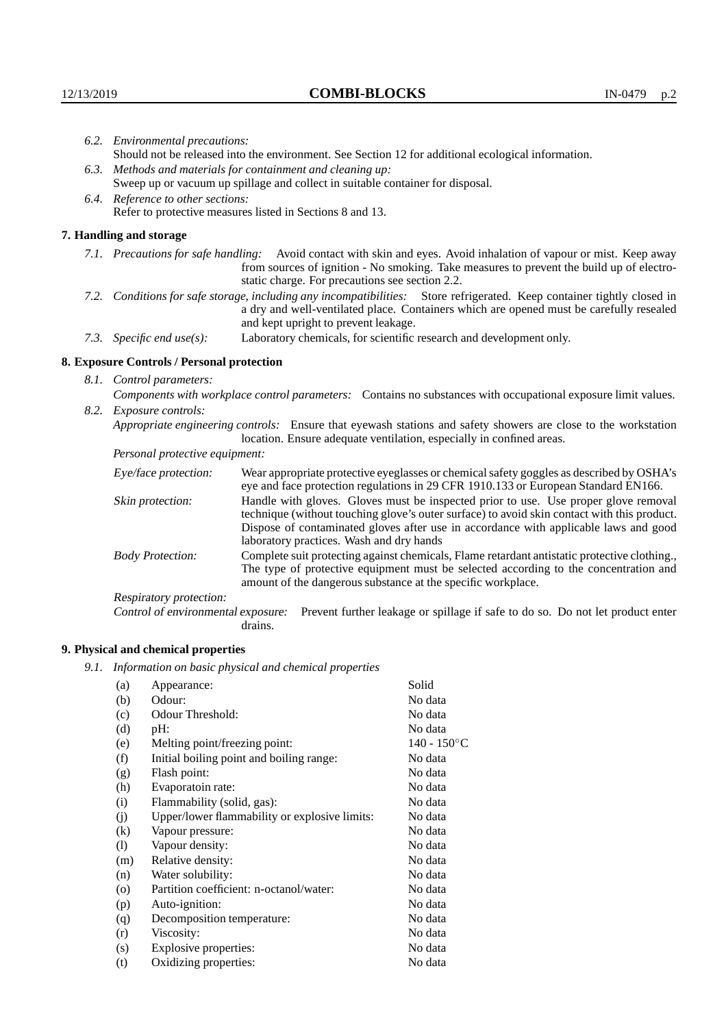| 6.2. Environmental precautions:                                                                                                                                                                                                                            |                                                                                                                                                                                                                                                                                                                        |  |  |
|------------------------------------------------------------------------------------------------------------------------------------------------------------------------------------------------------------------------------------------------------------|------------------------------------------------------------------------------------------------------------------------------------------------------------------------------------------------------------------------------------------------------------------------------------------------------------------------|--|--|
| Should not be released into the environment. See Section 12 for additional ecological information.                                                                                                                                                         |                                                                                                                                                                                                                                                                                                                        |  |  |
| 6.3. Methods and materials for containment and cleaning up:                                                                                                                                                                                                |                                                                                                                                                                                                                                                                                                                        |  |  |
| Sweep up or vacuum up spillage and collect in suitable container for disposal.                                                                                                                                                                             |                                                                                                                                                                                                                                                                                                                        |  |  |
| 6.4. Reference to other sections:                                                                                                                                                                                                                          |                                                                                                                                                                                                                                                                                                                        |  |  |
|                                                                                                                                                                                                                                                            | Refer to protective measures listed in Sections 8 and 13.                                                                                                                                                                                                                                                              |  |  |
| 7. Handling and storage                                                                                                                                                                                                                                    |                                                                                                                                                                                                                                                                                                                        |  |  |
|                                                                                                                                                                                                                                                            | 7.1. Precautions for safe handling: Avoid contact with skin and eyes. Avoid inhalation of vapour or mist. Keep away<br>from sources of ignition - No smoking. Take measures to prevent the build up of electro-<br>static charge. For precautions see section 2.2.                                                     |  |  |
| 7.2. Conditions for safe storage, including any incompatibilities: Store refrigerated. Keep container tightly closed in<br>a dry and well-ventilated place. Containers which are opened must be carefully resealed<br>and kept upright to prevent leakage. |                                                                                                                                                                                                                                                                                                                        |  |  |
| 7.3. Specific end use(s):                                                                                                                                                                                                                                  | Laboratory chemicals, for scientific research and development only.                                                                                                                                                                                                                                                    |  |  |
| 8. Exposure Controls / Personal protection                                                                                                                                                                                                                 |                                                                                                                                                                                                                                                                                                                        |  |  |
| 8.1. Control parameters:                                                                                                                                                                                                                                   |                                                                                                                                                                                                                                                                                                                        |  |  |
|                                                                                                                                                                                                                                                            | Components with workplace control parameters: Contains no substances with occupational exposure limit values.                                                                                                                                                                                                          |  |  |
| 8.2. Exposure controls:                                                                                                                                                                                                                                    |                                                                                                                                                                                                                                                                                                                        |  |  |
|                                                                                                                                                                                                                                                            | Appropriate engineering controls: Ensure that eyewash stations and safety showers are close to the workstation<br>location. Ensure adequate ventilation, especially in confined areas.                                                                                                                                 |  |  |
| Personal protective equipment:                                                                                                                                                                                                                             |                                                                                                                                                                                                                                                                                                                        |  |  |
| Eye/face protection:                                                                                                                                                                                                                                       | Wear appropriate protective eyeglasses or chemical safety goggles as described by OSHA's<br>eye and face protection regulations in 29 CFR 1910.133 or European Standard EN166.                                                                                                                                         |  |  |
| Skin protection:                                                                                                                                                                                                                                           | Handle with gloves. Gloves must be inspected prior to use. Use proper glove removal<br>technique (without touching glove's outer surface) to avoid skin contact with this product.<br>Dispose of contaminated gloves after use in accordance with applicable laws and good<br>laboratory practices. Wash and dry hands |  |  |

Body Protection: Complete suit protecting against chemicals, Flame retardant antistatic protective clothing., The type of protective equipment must be selected according to the concentration and amount of the dangerous substance at the specific workplace.

Respiratory protection:

Control of environmental exposure: Prevent further leakage or spillage if safe to do so. Do not let product enter drains.

# **9. Physical and chemical properties**

*9.1. Information on basic physical and chemical properties*

| (a)      | Appearance:                                   | Solid          |
|----------|-----------------------------------------------|----------------|
| (b)      | Odour:                                        | No data        |
| (c)      | Odour Threshold:                              | No data        |
| (d)      | pH:                                           | No data        |
| (e)      | Melting point/freezing point:                 | $140 - 150$ °C |
| (f)      | Initial boiling point and boiling range:      | No data        |
| (g)      | Flash point:                                  | No data        |
| (h)      | Evaporatoin rate:                             | No data        |
| (i)      | Flammability (solid, gas):                    | No data        |
| (j)      | Upper/lower flammability or explosive limits: | No data        |
| $\rm(k)$ | Vapour pressure:                              | No data        |
| (1)      | Vapour density:                               | No data        |
| (m)      | Relative density:                             | No data        |
| (n)      | Water solubility:                             | No data        |
| $\circ$  | Partition coefficient: n-octanol/water:       | No data        |
| (p)      | Auto-ignition:                                | No data        |
| (q)      | Decomposition temperature:                    | No data        |
| (r)      | Viscosity:                                    | No data        |
| (s)      | Explosive properties:                         | No data        |
| (t)      | Oxidizing properties:                         | No data        |
|          |                                               |                |